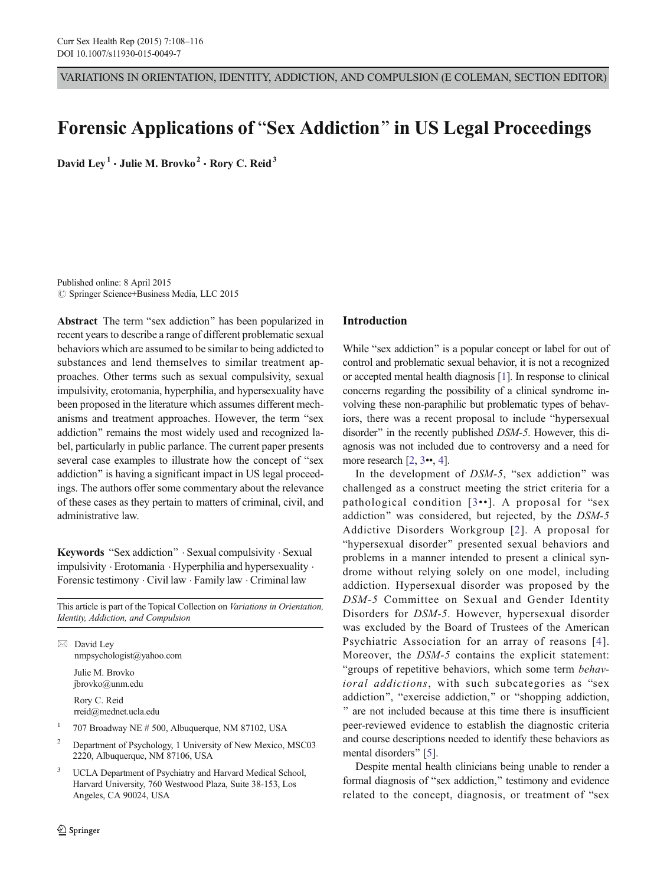VARIATIONS IN ORIENTATION, IDENTITY, ADDICTION, AND COMPULSION (E COLEMAN, SECTION EDITOR)

# Forensic Applications of "Sex Addiction" in US Legal Proceedings

David Lev<sup>1</sup>  $\cdot$  Julie M. Brovko<sup>2</sup>  $\cdot$  Rory C. Reid<sup>3</sup>

Published online: 8 April 2015  $\oslash$  Springer Science+Business Media, LLC 2015

Abstract The term "sex addiction" has been popularized in recent years to describe a range of different problematic sexual behaviors which are assumed to be similar to being addicted to substances and lend themselves to similar treatment approaches. Other terms such as sexual compulsivity, sexual impulsivity, erotomania, hyperphilia, and hypersexuality have been proposed in the literature which assumes different mechanisms and treatment approaches. However, the term "sex addiction" remains the most widely used and recognized label, particularly in public parlance. The current paper presents several case examples to illustrate how the concept of "sex addiction" is having a significant impact in US legal proceedings. The authors offer some commentary about the relevance of these cases as they pertain to matters of criminal, civil, and administrative law.

Keywords "Sex addiction" . Sexual compulsivity . Sexual impulsivity . Erotomania . Hyperphilia and hypersexuality . Forensic testimony . Civil law . Family law . Criminal law

This article is part of the Topical Collection on Variations in Orientation, Identity, Addiction, and Compulsion

 $\boxtimes$  David Ley nmpsychologist@yahoo.com Julie M. Brovko jbrovko@unm.edu

> Rory C. Reid rreid@mednet.ucla.edu

- <sup>1</sup> 707 Broadway NE # 500, Albuquerque, NM 87102, USA
- <sup>2</sup> Department of Psychology, 1 University of New Mexico, MSC03 2220, Albuquerque, NM 87106, USA
- UCLA Department of Psychiatry and Harvard Medical School, Harvard University, 760 Westwood Plaza, Suite 38-153, Los Angeles, CA 90024, USA

### Introduction

While "sex addiction" is a popular concept or label for out of control and problematic sexual behavior, it is not a recognized or accepted mental health diagnosis [[1\]](#page-8-0). In response to clinical concerns regarding the possibility of a clinical syndrome involving these non-paraphilic but problematic types of behaviors, there was a recent proposal to include "hypersexual disorder" in the recently published DSM-5. However, this diagnosis was not included due to controversy and a need for more research [\[2](#page-8-0), [3](#page-8-0)••, [4](#page-8-0)].

In the development of  $DSM-5$ , "sex addiction" was challenged as a construct meeting the strict criteria for a pathological condition  $[3\cdot \cdot]$  $[3\cdot \cdot]$  $[3\cdot \cdot]$ . A proposal for "sex addiction" was considered, but rejected, by the DSM-5 Addictive Disorders Workgroup [[2](#page-8-0)]. A proposal for "hypersexual disorder" presented sexual behaviors and problems in a manner intended to present a clinical syndrome without relying solely on one model, including addiction. Hypersexual disorder was proposed by the DSM-5 Committee on Sexual and Gender Identity Disorders for DSM-5. However, hypersexual disorder was excluded by the Board of Trustees of the American Psychiatric Association for an array of reasons [[4](#page-8-0)]. Moreover, the DSM-5 contains the explicit statement: "groups of repetitive behaviors, which some term behavioral addictions, with such subcategories as "sex addiction", "exercise addiction," or "shopping addiction, ^ are not included because at this time there is insufficient peer-reviewed evidence to establish the diagnostic criteria and course descriptions needed to identify these behaviors as mental disorders" [\[5](#page-8-0)].

Despite mental health clinicians being unable to render a formal diagnosis of "sex addiction," testimony and evidence related to the concept, diagnosis, or treatment of "sex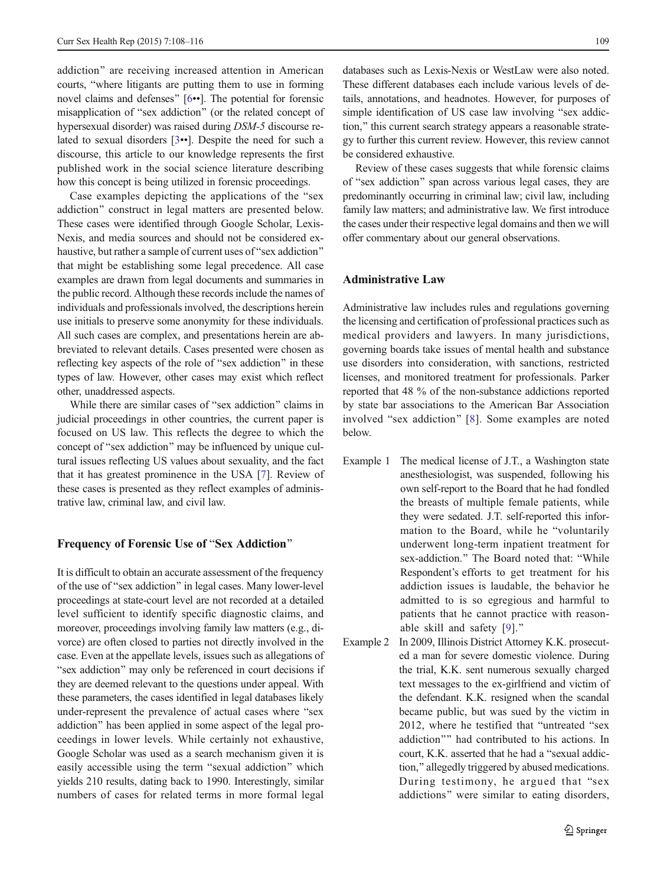addiction" are receiving increased attention in American courts, "where litigants are putting them to use in forming novel claims and defenses"  $[6·•]. The potential for forensic$  $[6·•]. The potential for forensic$ misapplication of "sex addiction" (or the related concept of hypersexual disorder) was raised during DSM-5 discourse related to sexual disorders [[3](#page-8-0)••]. Despite the need for such a discourse, this article to our knowledge represents the first published work in the social science literature describing how this concept is being utilized in forensic proceedings.

Case examples depicting the applications of the "sex" addiction" construct in legal matters are presented below. These cases were identified through Google Scholar, Lexis-Nexis, and media sources and should not be considered exhaustive, but rather a sample of current uses of "sex addiction" that might be establishing some legal precedence. All case examples are drawn from legal documents and summaries in the public record. Although these records include the names of individuals and professionals involved, the descriptions herein use initials to preserve some anonymity for these individuals. All such cases are complex, and presentations herein are abbreviated to relevant details. Cases presented were chosen as reflecting key aspects of the role of "sex addiction" in these types of law. However, other cases may exist which reflect other, unaddressed aspects.

While there are similar cases of "sex addiction" claims in judicial proceedings in other countries, the current paper is focused on US law. This reflects the degree to which the concept of "sex addiction" may be influenced by unique cultural issues reflecting US values about sexuality, and the fact that it has greatest prominence in the USA [[7\]](#page-8-0). Review of these cases is presented as they reflect examples of administrative law, criminal law, and civil law.

#### Frequency of Forensic Use of "Sex Addiction"

It is difficult to obtain an accurate assessment of the frequency of the use of "sex addiction" in legal cases. Many lower-level proceedings at state-court level are not recorded at a detailed level sufficient to identify specific diagnostic claims, and moreover, proceedings involving family law matters (e.g., divorce) are often closed to parties not directly involved in the case. Even at the appellate levels, issues such as allegations of "sex addiction" may only be referenced in court decisions if they are deemed relevant to the questions under appeal. With these parameters, the cases identified in legal databases likely under-represent the prevalence of actual cases where "sex addiction" has been applied in some aspect of the legal proceedings in lower levels. While certainly not exhaustive, Google Scholar was used as a search mechanism given it is easily accessible using the term "sexual addiction" which yields 210 results, dating back to 1990. Interestingly, similar numbers of cases for related terms in more formal legal

databases such as Lexis-Nexis or WestLaw were also noted. These different databases each include various levels of details, annotations, and headnotes. However, for purposes of simple identification of US case law involving "sex addiction," this current search strategy appears a reasonable strategy to further this current review. However, this review cannot be considered exhaustive.

Review of these cases suggests that while forensic claims of "sex addiction" span across various legal cases, they are predominantly occurring in criminal law; civil law, including family law matters; and administrative law. We first introduce the cases under their respective legal domains and then we will offer commentary about our general observations.

#### Administrative Law

Administrative law includes rules and regulations governing the licensing and certification of professional practices such as medical providers and lawyers. In many jurisdictions, governing boards take issues of mental health and substance use disorders into consideration, with sanctions, restricted licenses, and monitored treatment for professionals. Parker reported that 48 % of the non-substance addictions reported by state bar associations to the American Bar Association involved "sex addiction" [[8\]](#page-8-0). Some examples are noted below.

- Example 1 The medical license of J.T., a Washington state anesthesiologist, was suspended, following his own self-report to the Board that he had fondled the breasts of multiple female patients, while they were sedated. J.T. self-reported this information to the Board, while he "voluntarily underwent long-term inpatient treatment for sex-addiction." The Board noted that: "While Respondent's efforts to get treatment for his addiction issues is laudable, the behavior he admitted to is so egregious and harmful to patients that he cannot practice with reason-able skill and safety [[9\]](#page-8-0)."
- Example 2 In 2009, Illinois District Attorney K.K. prosecuted a man for severe domestic violence. During the trial, K.K. sent numerous sexually charged text messages to the ex-girlfriend and victim of the defendant. K.K. resigned when the scandal became public, but was sued by the victim in 2012, where he testified that "untreated "sex addiction"" had contributed to his actions. In court, K.K. asserted that he had a "sexual addiction,^ allegedly triggered by abused medications. During testimony, he argued that "sex addictions" were similar to eating disorders,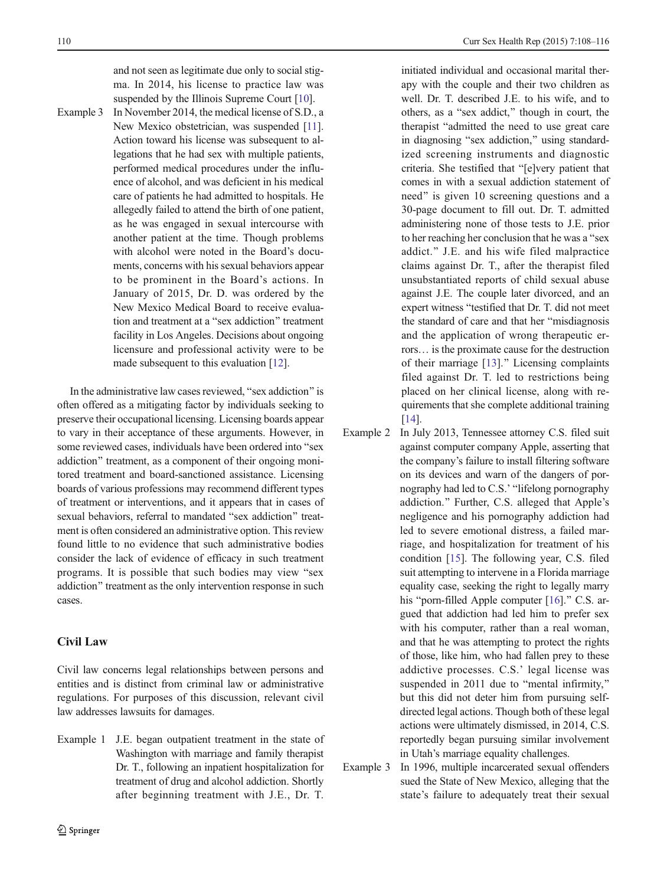and not seen as legitimate due only to social stigma. In 2014, his license to practice law was suspended by the Illinois Supreme Court [\[10\]](#page-8-0).

Example 3 In November 2014, the medical license of S.D., a New Mexico obstetrician, was suspended [\[11\]](#page-8-0). Action toward his license was subsequent to allegations that he had sex with multiple patients, performed medical procedures under the influence of alcohol, and was deficient in his medical care of patients he had admitted to hospitals. He allegedly failed to attend the birth of one patient, as he was engaged in sexual intercourse with another patient at the time. Though problems with alcohol were noted in the Board's documents, concerns with his sexual behaviors appear to be prominent in the Board's actions. In January of 2015, Dr. D. was ordered by the New Mexico Medical Board to receive evaluation and treatment at a "sex addiction" treatment facility in Los Angeles. Decisions about ongoing licensure and professional activity were to be made subsequent to this evaluation [\[12](#page-8-0)].

In the administrative law cases reviewed, "sex addiction" is often offered as a mitigating factor by individuals seeking to preserve their occupational licensing. Licensing boards appear to vary in their acceptance of these arguments. However, in some reviewed cases, individuals have been ordered into "sex addiction" treatment, as a component of their ongoing monitored treatment and board-sanctioned assistance. Licensing boards of various professions may recommend different types of treatment or interventions, and it appears that in cases of sexual behaviors, referral to mandated "sex addiction" treatment is often considered an administrative option. This review found little to no evidence that such administrative bodies consider the lack of evidence of efficacy in such treatment programs. It is possible that such bodies may view "sex addiction" treatment as the only intervention response in such cases.

## Civil Law

Civil law concerns legal relationships between persons and entities and is distinct from criminal law or administrative regulations. For purposes of this discussion, relevant civil law addresses lawsuits for damages.

Example 1 J.E. began outpatient treatment in the state of Washington with marriage and family therapist Dr. T., following an inpatient hospitalization for treatment of drug and alcohol addiction. Shortly after beginning treatment with J.E., Dr. T.

initiated individual and occasional marital therapy with the couple and their two children as well. Dr. T. described J.E. to his wife, and to others, as a "sex addict," though in court, the therapist "admitted the need to use great care in diagnosing "sex addiction," using standardized screening instruments and diagnostic criteria. She testified that "[e]very patient that comes in with a sexual addiction statement of need" is given 10 screening questions and a 30-page document to fill out. Dr. T. admitted administering none of those tests to J.E. prior to her reaching her conclusion that he was a "sex addict.^ J.E. and his wife filed malpractice claims against Dr. T., after the therapist filed unsubstantiated reports of child sexual abuse against J.E. The couple later divorced, and an expert witness "testified that Dr. T. did not meet the standard of care and that her "misdiagnosis" and the application of wrong therapeutic errors… is the proximate cause for the destruction of their marriage [[13\]](#page-8-0)." Licensing complaints filed against Dr. T. led to restrictions being placed on her clinical license, along with requirements that she complete additional training [[14](#page-8-0)].

- Example 2 In July 2013, Tennessee attorney C.S. filed suit against computer company Apple, asserting that the company's failure to install filtering software on its devices and warn of the dangers of pornography had led to C.S.' "lifelong pornography addiction.^ Further, C.S. alleged that Apple's negligence and his pornography addiction had led to severe emotional distress, a failed marriage, and hospitalization for treatment of his condition [[15\]](#page-8-0). The following year, C.S. filed suit attempting to intervene in a Florida marriage equality case, seeking the right to legally marry his "porn-filled Apple computer  $[16]$  $[16]$ ." C.S. argued that addiction had led him to prefer sex with his computer, rather than a real woman, and that he was attempting to protect the rights of those, like him, who had fallen prey to these addictive processes. C.S.' legal license was suspended in 2011 due to "mental infirmity," but this did not deter him from pursuing selfdirected legal actions. Though both of these legal actions were ultimately dismissed, in 2014, C.S. reportedly began pursuing similar involvement in Utah's marriage equality challenges.
- Example 3 In 1996, multiple incarcerated sexual offenders sued the State of New Mexico, alleging that the state's failure to adequately treat their sexual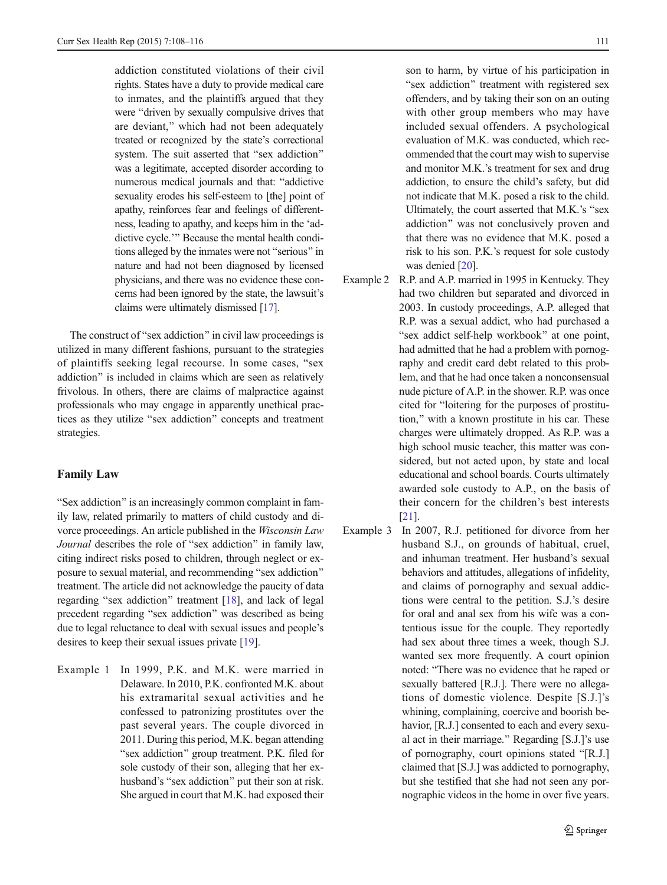addiction constituted violations of their civil rights. States have a duty to provide medical care to inmates, and the plaintiffs argued that they were "driven by sexually compulsive drives that are deviant," which had not been adequately treated or recognized by the state's correctional system. The suit asserted that "sex addiction" was a legitimate, accepted disorder according to numerous medical journals and that: "addictive sexuality erodes his self-esteem to [the] point of apathy, reinforces fear and feelings of differentness, leading to apathy, and keeps him in the 'addictive cycle.'" Because the mental health conditions alleged by the inmates were not "serious" in nature and had not been diagnosed by licensed physicians, and there was no evidence these concerns had been ignored by the state, the lawsuit's claims were ultimately dismissed [\[17](#page-8-0)].

The construct of "sex addiction" in civil law proceedings is utilized in many different fashions, pursuant to the strategies of plaintiffs seeking legal recourse. In some cases, "sex addiction" is included in claims which are seen as relatively frivolous. In others, there are claims of malpractice against professionals who may engage in apparently unethical practices as they utilize "sex addiction" concepts and treatment strategies.

#### Family Law

"Sex addiction" is an increasingly common complaint in family law, related primarily to matters of child custody and divorce proceedings. An article published in the Wisconsin Law Journal describes the role of "sex addiction" in family law, citing indirect risks posed to children, through neglect or exposure to sexual material, and recommending "sex addiction" treatment. The article did not acknowledge the paucity of data regarding "sex addiction" treatment [[18](#page-8-0)], and lack of legal precedent regarding "sex addiction" was described as being due to legal reluctance to deal with sexual issues and people's desires to keep their sexual issues private [\[19](#page-8-0)].

Example 1 In 1999, P.K. and M.K. were married in Delaware. In 2010, P.K. confronted M.K. about his extramarital sexual activities and he confessed to patronizing prostitutes over the past several years. The couple divorced in 2011. During this period, M.K. began attending "sex addiction" group treatment. P.K. filed for sole custody of their son, alleging that her exhusband's "sex addiction" put their son at risk. She argued in court that M.K. had exposed their son to harm, by virtue of his participation in "sex addiction" treatment with registered sex offenders, and by taking their son on an outing with other group members who may have included sexual offenders. A psychological evaluation of M.K. was conducted, which recommended that the court may wish to supervise and monitor M.K.'s treatment for sex and drug addiction, to ensure the child's safety, but did not indicate that M.K. posed a risk to the child. Ultimately, the court asserted that M.K.'s "sex addiction" was not conclusively proven and that there was no evidence that M.K. posed a risk to his son. P.K.'s request for sole custody was denied [\[20\]](#page-8-0).

- Example 2 R.P. and A.P. married in 1995 in Kentucky. They had two children but separated and divorced in 2003. In custody proceedings, A.P. alleged that R.P. was a sexual addict, who had purchased a "sex addict self-help workbook" at one point, had admitted that he had a problem with pornography and credit card debt related to this problem, and that he had once taken a nonconsensual nude picture of A.P. in the shower. R.P. was once cited for "loitering for the purposes of prostitution,^ with a known prostitute in his car. These charges were ultimately dropped. As R.P. was a high school music teacher, this matter was considered, but not acted upon, by state and local educational and school boards. Courts ultimately awarded sole custody to A.P., on the basis of their concern for the children's best interests [[21](#page-8-0)].
- Example 3 In 2007, R.J. petitioned for divorce from her husband S.J., on grounds of habitual, cruel, and inhuman treatment. Her husband's sexual behaviors and attitudes, allegations of infidelity, and claims of pornography and sexual addictions were central to the petition. S.J.'s desire for oral and anal sex from his wife was a contentious issue for the couple. They reportedly had sex about three times a week, though S.J. wanted sex more frequently. A court opinion noted: "There was no evidence that he raped or sexually battered [R.J.]. There were no allegations of domestic violence. Despite [S.J.]'s whining, complaining, coercive and boorish behavior, [R.J.] consented to each and every sexual act in their marriage." Regarding [S.J.]'s use of pornography, court opinions stated "[R.J.] claimed that [S.J.] was addicted to pornography, but she testified that she had not seen any pornographic videos in the home in over five years.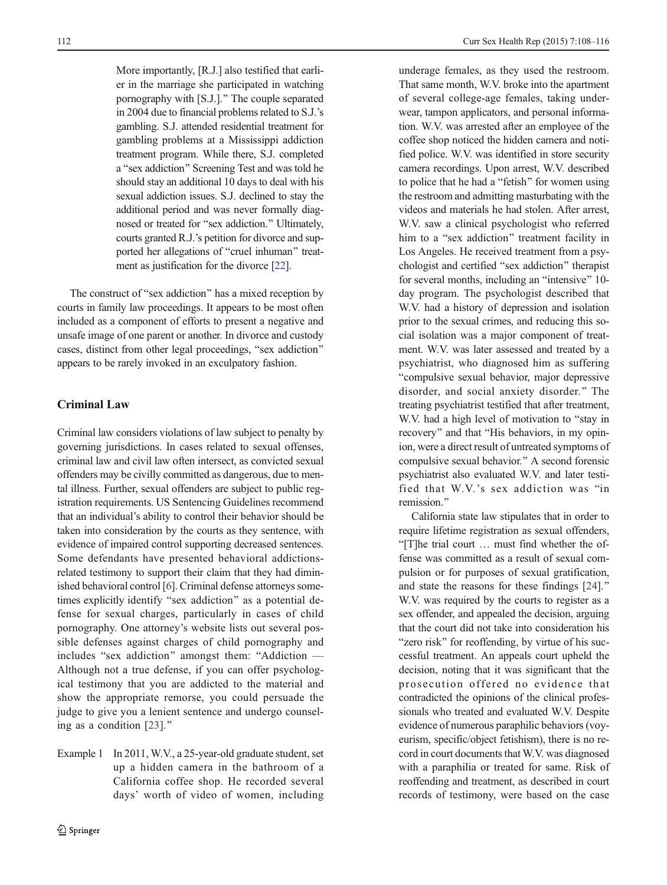More importantly, [R.J.] also testified that earlier in the marriage she participated in watching pornography with [S.J.].^ The couple separated in 2004 due to financial problems related to S.J.'s gambling. S.J. attended residential treatment for gambling problems at a Mississippi addiction treatment program. While there, S.J. completed a "sex addiction" Screening Test and was told he should stay an additional 10 days to deal with his sexual addiction issues. S.J. declined to stay the additional period and was never formally diagnosed or treated for "sex addiction." Ultimately, courts granted R.J.'s petition for divorce and supported her allegations of "cruel inhuman" treatment as justification for the divorce [\[22](#page-8-0)].

The construct of "sex addiction" has a mixed reception by courts in family law proceedings. It appears to be most often included as a component of efforts to present a negative and unsafe image of one parent or another. In divorce and custody cases, distinct from other legal proceedings, "sex addiction" appears to be rarely invoked in an exculpatory fashion.

## Criminal Law

Criminal law considers violations of law subject to penalty by governing jurisdictions. In cases related to sexual offenses, criminal law and civil law often intersect, as convicted sexual offenders may be civilly committed as dangerous, due to mental illness. Further, sexual offenders are subject to public registration requirements. US Sentencing Guidelines recommend that an individual's ability to control their behavior should be taken into consideration by the courts as they sentence, with evidence of impaired control supporting decreased sentences. Some defendants have presented behavioral addictionsrelated testimony to support their claim that they had diminished behavioral control [\[6](#page-8-0)]. Criminal defense attorneys sometimes explicitly identify "sex addiction" as a potential defense for sexual charges, particularly in cases of child pornography. One attorney's website lists out several possible defenses against charges of child pornography and includes "sex addiction" amongst them: "Addiction  $-$ Although not a true defense, if you can offer psychological testimony that you are addicted to the material and show the appropriate remorse, you could persuade the judge to give you a lenient sentence and undergo counseling as a condition  $[23]$ .<sup>\*</sup>

Example 1 In 2011, W.V., a 25-year-old graduate student, set up a hidden camera in the bathroom of a California coffee shop. He recorded several days' worth of video of women, including underage females, as they used the restroom. That same month, W.V. broke into the apartment of several college-age females, taking underwear, tampon applicators, and personal information. W.V. was arrested after an employee of the coffee shop noticed the hidden camera and notified police. W.V. was identified in store security camera recordings. Upon arrest, W.V. described to police that he had a "fetish" for women using the restroom and admitting masturbating with the videos and materials he had stolen. After arrest, W.V. saw a clinical psychologist who referred him to a "sex addiction" treatment facility in Los Angeles. He received treatment from a psychologist and certified "sex addiction" therapist for several months, including an "intensive" 10day program. The psychologist described that W.V. had a history of depression and isolation prior to the sexual crimes, and reducing this social isolation was a major component of treatment. W.V. was later assessed and treated by a psychiatrist, who diagnosed him as suffering "compulsive sexual behavior, major depressive disorder, and social anxiety disorder.^ The treating psychiatrist testified that after treatment, W.V. had a high level of motivation to "stay in recovery" and that "His behaviors, in my opinion, were a direct result of untreated symptoms of compulsive sexual behavior.^ A second forensic psychiatrist also evaluated W.V. and later testified that W.V.'s sex addiction was "in remission."

California state law stipulates that in order to require lifetime registration as sexual offenders, B[T]he trial court … must find whether the offense was committed as a result of sexual compulsion or for purposes of sexual gratification, and state the reasons for these findings [[24\]](#page-8-0).<sup>\*</sup> W.V. was required by the courts to register as a sex offender, and appealed the decision, arguing that the court did not take into consideration his "zero risk" for reoffending, by virtue of his successful treatment. An appeals court upheld the decision, noting that it was significant that the prosecution offered no evidence that contradicted the opinions of the clinical professionals who treated and evaluated W.V. Despite evidence of numerous paraphilic behaviors (voyeurism, specific/object fetishism), there is no record in court documents that W.V. was diagnosed with a paraphilia or treated for same. Risk of reoffending and treatment, as described in court records of testimony, were based on the case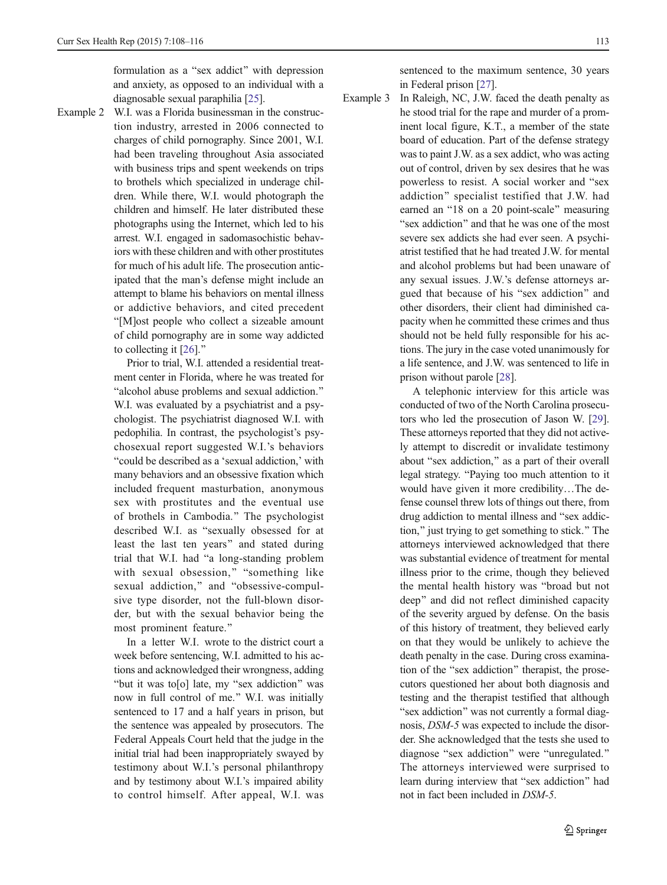formulation as a "sex addict" with depression and anxiety, as opposed to an individual with a diagnosable sexual paraphilia [[25](#page-8-0)].

Example 2 W.I. was a Florida businessman in the construction industry, arrested in 2006 connected to charges of child pornography. Since 2001, W.I. had been traveling throughout Asia associated with business trips and spent weekends on trips to brothels which specialized in underage children. While there, W.I. would photograph the children and himself. He later distributed these photographs using the Internet, which led to his arrest. W.I. engaged in sadomasochistic behaviors with these children and with other prostitutes for much of his adult life. The prosecution anticipated that the man's defense might include an attempt to blame his behaviors on mental illness or addictive behaviors, and cited precedent "[M]ost people who collect a sizeable amount of child pornography are in some way addicted to collecting it  $[26]$  $[26]$  $[26]$ ."

> Prior to trial, W.I. attended a residential treatment center in Florida, where he was treated for "alcohol abuse problems and sexual addiction." W.I. was evaluated by a psychiatrist and a psychologist. The psychiatrist diagnosed W.I. with pedophilia. In contrast, the psychologist's psychosexual report suggested W.I.'s behaviors "could be described as a 'sexual addiction,' with many behaviors and an obsessive fixation which included frequent masturbation, anonymous sex with prostitutes and the eventual use of brothels in Cambodia.^ The psychologist described W.I. as "sexually obsessed for at least the last ten years^ and stated during trial that W.I. had "a long-standing problem with sexual obsession," "something like sexual addiction," and "obsessive-compulsive type disorder, not the full-blown disorder, but with the sexual behavior being the most prominent feature."

> In a letter W.I. wrote to the district court a week before sentencing, W.I. admitted to his actions and acknowledged their wrongness, adding "but it was to[o] late, my "sex addiction" was now in full control of me.^ W.I. was initially sentenced to 17 and a half years in prison, but the sentence was appealed by prosecutors. The Federal Appeals Court held that the judge in the initial trial had been inappropriately swayed by testimony about W.I.'s personal philanthropy and by testimony about W.I.'s impaired ability to control himself. After appeal, W.I. was

sentenced to the maximum sentence, 30 years in Federal prison [[27](#page-8-0)].

Example 3 In Raleigh, NC, J.W. faced the death penalty as he stood trial for the rape and murder of a prominent local figure, K.T., a member of the state board of education. Part of the defense strategy was to paint J.W. as a sex addict, who was acting out of control, driven by sex desires that he was powerless to resist. A social worker and "sex addiction" specialist testified that J.W. had earned an "18 on a 20 point-scale" measuring "sex addiction" and that he was one of the most severe sex addicts she had ever seen. A psychiatrist testified that he had treated J.W. for mental and alcohol problems but had been unaware of any sexual issues. J.W.'s defense attorneys argued that because of his "sex addiction" and other disorders, their client had diminished capacity when he committed these crimes and thus should not be held fully responsible for his actions. The jury in the case voted unanimously for a life sentence, and J.W. was sentenced to life in prison without parole [\[28\]](#page-8-0).

> A telephonic interview for this article was conducted of two of the North Carolina prosecutors who led the prosecution of Jason W. [[29\]](#page-8-0). These attorneys reported that they did not actively attempt to discredit or invalidate testimony about "sex addiction," as a part of their overall legal strategy. "Paying too much attention to it would have given it more credibility...The defense counsel threw lots of things out there, from drug addiction to mental illness and "sex addiction,^ just trying to get something to stick.^ The attorneys interviewed acknowledged that there was substantial evidence of treatment for mental illness prior to the crime, though they believed the mental health history was "broad but not deep^ and did not reflect diminished capacity of the severity argued by defense. On the basis of this history of treatment, they believed early on that they would be unlikely to achieve the death penalty in the case. During cross examination of the "sex addiction" therapist, the prosecutors questioned her about both diagnosis and testing and the therapist testified that although "sex addiction" was not currently a formal diagnosis, DSM-5 was expected to include the disorder. She acknowledged that the tests she used to diagnose "sex addiction" were "unregulated." The attorneys interviewed were surprised to learn during interview that "sex addiction" had not in fact been included in DSM-5.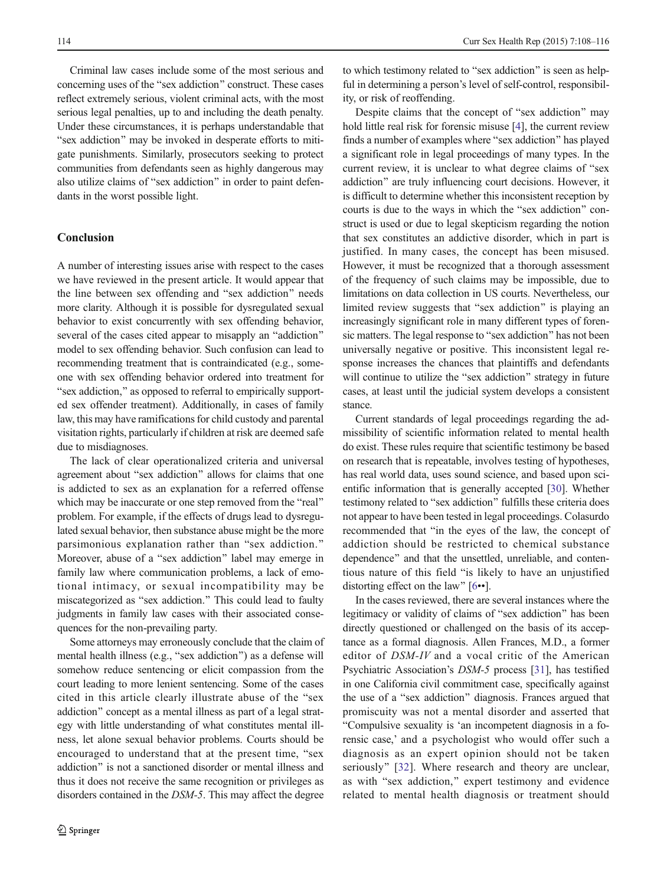Criminal law cases include some of the most serious and concerning uses of the "sex addiction" construct. These cases reflect extremely serious, violent criminal acts, with the most serious legal penalties, up to and including the death penalty. Under these circumstances, it is perhaps understandable that "sex addiction" may be invoked in desperate efforts to mitigate punishments. Similarly, prosecutors seeking to protect communities from defendants seen as highly dangerous may also utilize claims of "sex addiction" in order to paint defendants in the worst possible light.

## Conclusion

A number of interesting issues arise with respect to the cases we have reviewed in the present article. It would appear that the line between sex offending and "sex addiction" needs more clarity. Although it is possible for dysregulated sexual behavior to exist concurrently with sex offending behavior, several of the cases cited appear to misapply an "addiction" model to sex offending behavior. Such confusion can lead to recommending treatment that is contraindicated (e.g., someone with sex offending behavior ordered into treatment for "sex addiction," as opposed to referral to empirically supported sex offender treatment). Additionally, in cases of family law, this may have ramifications for child custody and parental visitation rights, particularly if children at risk are deemed safe due to misdiagnoses.

The lack of clear operationalized criteria and universal agreement about "sex addiction" allows for claims that one is addicted to sex as an explanation for a referred offense which may be inaccurate or one step removed from the "real" problem. For example, if the effects of drugs lead to dysregulated sexual behavior, then substance abuse might be the more parsimonious explanation rather than "sex addiction." Moreover, abuse of a "sex addiction" label may emerge in family law where communication problems, a lack of emotional intimacy, or sexual incompatibility may be miscategorized as "sex addiction." This could lead to faulty judgments in family law cases with their associated consequences for the non-prevailing party.

Some attorneys may erroneously conclude that the claim of mental health illness (e.g., "sex addiction") as a defense will somehow reduce sentencing or elicit compassion from the court leading to more lenient sentencing. Some of the cases cited in this article clearly illustrate abuse of the "sex addiction" concept as a mental illness as part of a legal strategy with little understanding of what constitutes mental illness, let alone sexual behavior problems. Courts should be encouraged to understand that at the present time, "sex addiction" is not a sanctioned disorder or mental illness and thus it does not receive the same recognition or privileges as disorders contained in the DSM-5. This may affect the degree

to which testimony related to "sex addiction" is seen as helpful in determining a person's level of self-control, responsibility, or risk of reoffending.

Despite claims that the concept of "sex addiction" may hold little real risk for forensic misuse [\[4](#page-8-0)], the current review finds a number of examples where "sex addiction" has played a significant role in legal proceedings of many types. In the current review, it is unclear to what degree claims of "sex" addiction" are truly influencing court decisions. However, it is difficult to determine whether this inconsistent reception by courts is due to the ways in which the "sex addiction" construct is used or due to legal skepticism regarding the notion that sex constitutes an addictive disorder, which in part is justified. In many cases, the concept has been misused. However, it must be recognized that a thorough assessment of the frequency of such claims may be impossible, due to limitations on data collection in US courts. Nevertheless, our limited review suggests that "sex addiction" is playing an increasingly significant role in many different types of forensic matters. The legal response to "sex addiction" has not been universally negative or positive. This inconsistent legal response increases the chances that plaintiffs and defendants will continue to utilize the "sex addiction" strategy in future cases, at least until the judicial system develops a consistent stance.

Current standards of legal proceedings regarding the admissibility of scientific information related to mental health do exist. These rules require that scientific testimony be based on research that is repeatable, involves testing of hypotheses, has real world data, uses sound science, and based upon scientific information that is generally accepted [[30\]](#page-8-0). Whether testimony related to "sex addiction" fulfills these criteria does not appear to have been tested in legal proceedings. Colasurdo recommended that "in the eyes of the law, the concept of addiction should be restricted to chemical substance dependence" and that the unsettled, unreliable, and contentious nature of this field "is likely to have an unjustified distorting effect on the law"  $[6••]$  $[6••]$  $[6••]$ .

In the cases reviewed, there are several instances where the legitimacy or validity of claims of "sex addiction" has been directly questioned or challenged on the basis of its acceptance as a formal diagnosis. Allen Frances, M.D., a former editor of DSM-IV and a vocal critic of the American Psychiatric Association's DSM-5 process [\[31](#page-8-0)], has testified in one California civil commitment case, specifically against the use of a "sex addiction" diagnosis. Frances argued that promiscuity was not a mental disorder and asserted that "Compulsive sexuality is 'an incompetent diagnosis in a forensic case,' and a psychologist who would offer such a diagnosis as an expert opinion should not be taken seriously" [[32\]](#page-8-0). Where research and theory are unclear, as with "sex addiction," expert testimony and evidence related to mental health diagnosis or treatment should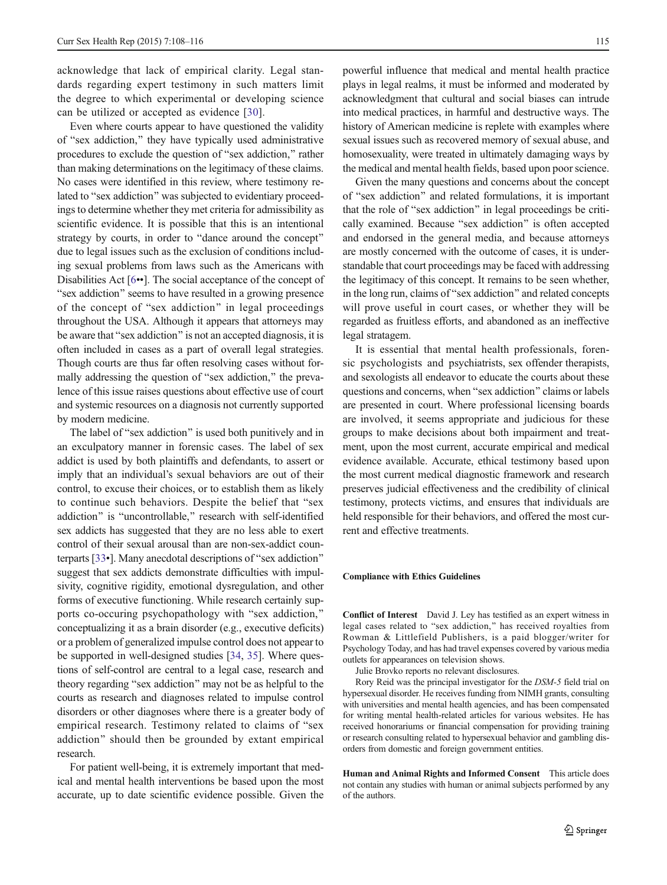acknowledge that lack of empirical clarity. Legal standards regarding expert testimony in such matters limit the degree to which experimental or developing science can be utilized or accepted as evidence [[30\]](#page-8-0).

Even where courts appear to have questioned the validity of "sex addiction," they have typically used administrative procedures to exclude the question of "sex addiction," rather than making determinations on the legitimacy of these claims. No cases were identified in this review, where testimony related to "sex addiction" was subjected to evidentiary proceedings to determine whether they met criteria for admissibility as scientific evidence. It is possible that this is an intentional strategy by courts, in order to "dance around the concept" due to legal issues such as the exclusion of conditions including sexual problems from laws such as the Americans with Disabilities Act [[6](#page-8-0)••]. The social acceptance of the concept of "sex addiction" seems to have resulted in a growing presence of the concept of "sex addiction" in legal proceedings throughout the USA. Although it appears that attorneys may be aware that "sex addiction" is not an accepted diagnosis, it is often included in cases as a part of overall legal strategies. Though courts are thus far often resolving cases without formally addressing the question of "sex addiction," the prevalence of this issue raises questions about effective use of court and systemic resources on a diagnosis not currently supported by modern medicine.

The label of "sex addiction" is used both punitively and in an exculpatory manner in forensic cases. The label of sex addict is used by both plaintiffs and defendants, to assert or imply that an individual's sexual behaviors are out of their control, to excuse their choices, or to establish them as likely to continue such behaviors. Despite the belief that "sex addiction" is "uncontrollable," research with self-identified sex addicts has suggested that they are no less able to exert control of their sexual arousal than are non-sex-addict counterparts  $[33\bullet]$  $[33\bullet]$ . Many anecdotal descriptions of "sex addiction" suggest that sex addicts demonstrate difficulties with impulsivity, cognitive rigidity, emotional dysregulation, and other forms of executive functioning. While research certainly supports co-occuring psychopathology with "sex addiction," conceptualizing it as a brain disorder (e.g., executive deficits) or a problem of generalized impulse control does not appear to be supported in well-designed studies [\[34](#page-8-0), [35\]](#page-8-0). Where questions of self-control are central to a legal case, research and theory regarding "sex addiction" may not be as helpful to the courts as research and diagnoses related to impulse control disorders or other diagnoses where there is a greater body of empirical research. Testimony related to claims of "sex addiction" should then be grounded by extant empirical research.

For patient well-being, it is extremely important that medical and mental health interventions be based upon the most accurate, up to date scientific evidence possible. Given the

powerful influence that medical and mental health practice plays in legal realms, it must be informed and moderated by acknowledgment that cultural and social biases can intrude into medical practices, in harmful and destructive ways. The history of American medicine is replete with examples where sexual issues such as recovered memory of sexual abuse, and homosexuality, were treated in ultimately damaging ways by the medical and mental health fields, based upon poor science.

Given the many questions and concerns about the concept of "sex addiction" and related formulations, it is important that the role of "sex addiction" in legal proceedings be critically examined. Because "sex addiction" is often accepted and endorsed in the general media, and because attorneys are mostly concerned with the outcome of cases, it is understandable that court proceedings may be faced with addressing the legitimacy of this concept. It remains to be seen whether, in the long run, claims of "sex addiction" and related concepts will prove useful in court cases, or whether they will be regarded as fruitless efforts, and abandoned as an ineffective legal stratagem.

It is essential that mental health professionals, forensic psychologists and psychiatrists, sex offender therapists, and sexologists all endeavor to educate the courts about these questions and concerns, when "sex addiction" claims or labels are presented in court. Where professional licensing boards are involved, it seems appropriate and judicious for these groups to make decisions about both impairment and treatment, upon the most current, accurate empirical and medical evidence available. Accurate, ethical testimony based upon the most current medical diagnostic framework and research preserves judicial effectiveness and the credibility of clinical testimony, protects victims, and ensures that individuals are held responsible for their behaviors, and offered the most current and effective treatments.

#### Compliance with Ethics Guidelines

Conflict of Interest David J. Ley has testified as an expert witness in legal cases related to "sex addiction," has received royalties from Rowman & Littlefield Publishers, is a paid blogger/writer for Psychology Today, and has had travel expenses covered by various media outlets for appearances on television shows.

Julie Brovko reports no relevant disclosures.

Rory Reid was the principal investigator for the DSM-5 field trial on hypersexual disorder. He receives funding from NIMH grants, consulting with universities and mental health agencies, and has been compensated for writing mental health-related articles for various websites. He has received honorariums or financial compensation for providing training or research consulting related to hypersexual behavior and gambling disorders from domestic and foreign government entities.

Human and Animal Rights and Informed Consent This article does not contain any studies with human or animal subjects performed by any of the authors.